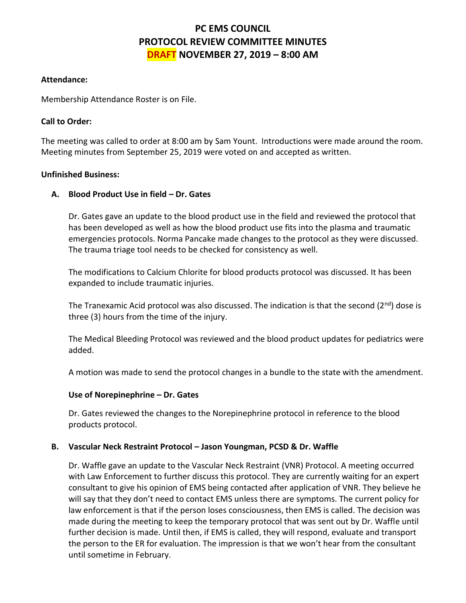# **PC EMS COUNCIL PROTOCOL REVIEW COMMITTEE MINUTES DRAFT NOVEMBER 27, 2019 – 8:00 AM**

# **Attendance:**

Membership Attendance Roster is on File.

# **Call to Order:**

The meeting was called to order at 8:00 am by Sam Yount. Introductions were made around the room. Meeting minutes from September 25, 2019 were voted on and accepted as written.

## **Unfinished Business:**

# **A. Blood Product Use in field – Dr. Gates**

Dr. Gates gave an update to the blood product use in the field and reviewed the protocol that has been developed as well as how the blood product use fits into the plasma and traumatic emergencies protocols. Norma Pancake made changes to the protocol as they were discussed. The trauma triage tool needs to be checked for consistency as well.

The modifications to Calcium Chlorite for blood products protocol was discussed. It has been expanded to include traumatic injuries.

The Tranexamic Acid protocol was also discussed. The indication is that the second  $(2^{nd})$  dose is three (3) hours from the time of the injury.

The Medical Bleeding Protocol was reviewed and the blood product updates for pediatrics were added.

A motion was made to send the protocol changes in a bundle to the state with the amendment.

#### **Use of Norepinephrine – Dr. Gates**

Dr. Gates reviewed the changes to the Norepinephrine protocol in reference to the blood products protocol.

#### **B. Vascular Neck Restraint Protocol – Jason Youngman, PCSD & Dr. Waffle**

Dr. Waffle gave an update to the Vascular Neck Restraint (VNR) Protocol. A meeting occurred with Law Enforcement to further discuss this protocol. They are currently waiting for an expert consultant to give his opinion of EMS being contacted after application of VNR. They believe he will say that they don't need to contact EMS unless there are symptoms. The current policy for law enforcement is that if the person loses consciousness, then EMS is called. The decision was made during the meeting to keep the temporary protocol that was sent out by Dr. Waffle until further decision is made. Until then, if EMS is called, they will respond, evaluate and transport the person to the ER for evaluation. The impression is that we won't hear from the consultant until sometime in February.